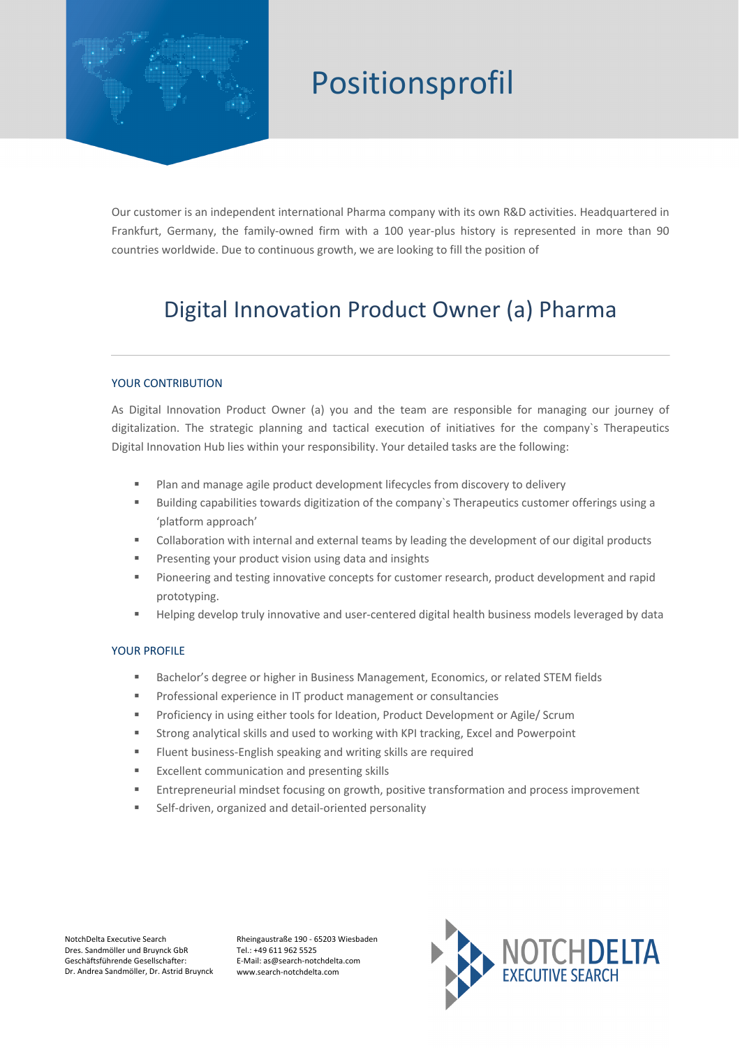

## Positionsprofil

Our customer is an independent international Pharma company with its own R&D activities. Headquartered in Frankfurt, Germany, the family-owned firm with a 100 year-plus history is represented in more than 90 countries worldwide. Due to continuous growth, we are looking to fill the position of

### Digital Innovation Product Owner (a) Pharma

### YOUR CONTRIBUTION

As Digital Innovation Product Owner (a) you and the team are responsible for managing our journey of digitalization. The strategic planning and tactical execution of initiatives for the company`s Therapeutics Digital Innovation Hub lies within your responsibility. Your detailed tasks are the following:

- Plan and manage agile product development lifecycles from discovery to delivery
- § Building capabilities towards digitization of the company`s Therapeutics customer offerings using a 'platform approach'
- Collaboration with internal and external teams by leading the development of our digital products
- Presenting your product vision using data and insights
- Pioneering and testing innovative concepts for customer research, product development and rapid prototyping.
- Helping develop truly innovative and user-centered digital health business models leveraged by data

#### YOUR PROFILE

- § Bachelor's degree or higher in Business Management, Economics, or related STEM fields
- § Professional experience in IT product management or consultancies
- Proficiency in using either tools for Ideation, Product Development or Agile/ Scrum
- Strong analytical skills and used to working with KPI tracking, Excel and Powerpoint
- Fluent business-English speaking and writing skills are required
- § Excellent communication and presenting skills
- Entrepreneurial mindset focusing on growth, positive transformation and process improvement
- Self-driven, organized and detail-oriented personality

NotchDelta Executive Search Dres. Sandmöller und Bruynck GbR Geschäftsführende Gesellschafter: Dr. Andrea Sandmöller, Dr. Astrid Bruynck Rheingaustraße 190 - 65203 Wiesbaden Tel.: +49 611 962 5525 E-Mail: as@search-notchdelta.com www.search-notchdelta.com